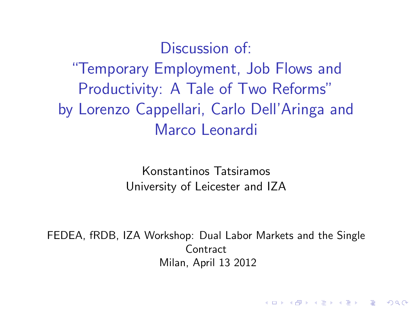# Discussion of: "Temporary Employment, Job Flows and Productivity: A Tale of Two Reforms" by Lorenzo Cappellari, Carlo Dell'Aringa and Marco Leonardi

Konstantinos Tatsiramos University of Leicester and IZA

FEDEA, fRDB, IZA Workshop: Dual Labor Markets and the Single **Contract** Milan, April 13 2012

**KORK ERKER ADE YOUR**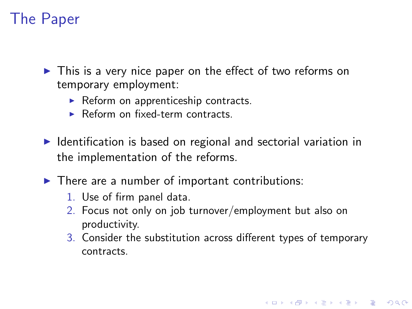### The Paper

 $\triangleright$  This is a very nice paper on the effect of two reforms on temporary employment:

- $\triangleright$  Reform on apprenticeship contracts.
- $\triangleright$  Reform on fixed-term contracts.
- $\blacktriangleright$  Identification is based on regional and sectorial variation in the implementation of the reforms.
- $\blacktriangleright$  There are a number of important contributions:
	- 1. Use of firm panel data.
	- 2. Focus not only on job turnover/employment but also on productivity.
	- 3. Consider the substitution across different types of temporary contracts.

**KORK ERKER ADE YOUR**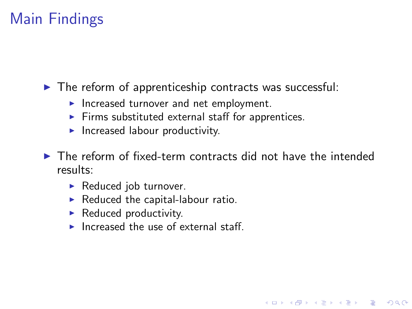## Main Findings

 $\triangleright$  The reform of apprenticeship contracts was successful:

- Increased turnover and net employment.
- $\blacktriangleright$  Firms substituted external staff for apprentices.
- $\blacktriangleright$  Increased labour productivity.

 $\triangleright$  The reform of fixed-term contracts did not have the intended results:

**KORK ERKER ADAM ADA** 

- $\blacktriangleright$  Reduced job turnover.
- $\blacktriangleright$  Reduced the capital-labour ratio.
- $\blacktriangleright$  Reduced productivity.
- Increased the use of external staff.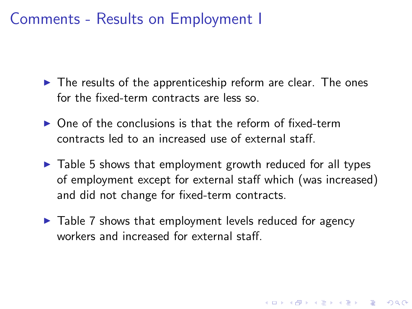#### Comments - Results on Employment I

- $\blacktriangleright$  The results of the apprenticeship reform are clear. The ones for the fixed-term contracts are less so.
- $\triangleright$  One of the conclusions is that the reform of fixed-term contracts led to an increased use of external staff.
- $\triangleright$  Table 5 shows that employment growth reduced for all types of employment except for external staff which (was increased) and did not change for fixed-term contracts.

4 D > 4 P + 4 B + 4 B + B + 9 Q O

 $\blacktriangleright$  Table 7 shows that employment levels reduced for agency workers and increased for external staff.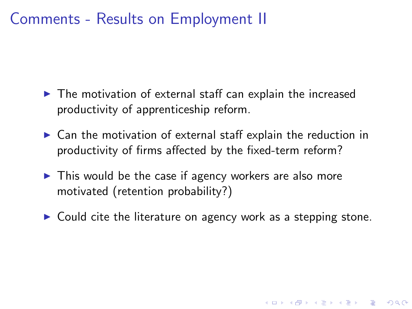#### Comments - Results on Employment II

- $\triangleright$  The motivation of external staff can explain the increased productivity of apprenticeship reform.
- $\triangleright$  Can the motivation of external staff explain the reduction in productivity of firms affected by the fixed-term reform?
- $\triangleright$  This would be the case if agency workers are also more motivated (retention probability?)
- $\triangleright$  Could cite the literature on agency work as a stepping stone.

**K ロ ▶ K @ ▶ K 할 X X 할 X 및 할 X X Q Q O**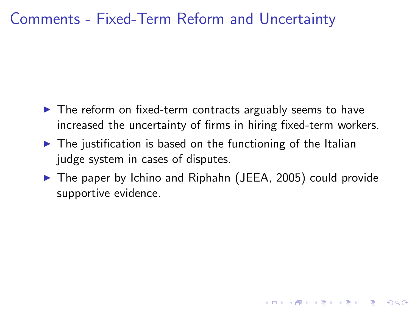#### Comments - Fixed-Term Reform and Uncertainty

- $\blacktriangleright$  The reform on fixed-term contracts arguably seems to have increased the uncertainty of firms in hiring fixed-term workers.
- $\triangleright$  The iustification is based on the functioning of the Italian judge system in cases of disputes.
- $\triangleright$  The paper by Ichino and Riphahn (JEEA, 2005) could provide supportive evidence.

**KORK ERKER ADAM ADA**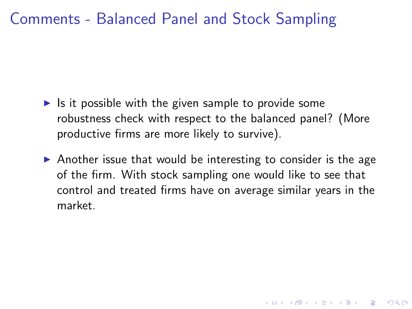#### Comments - Balanced Panel and Stock Sampling

- $\blacktriangleright$  Is it possible with the given sample to provide some robustness check with respect to the balanced panel? (More productive firms are more likely to survive).
- $\triangleright$  Another issue that would be interesting to consider is the age of the firm. With stock sampling one would like to see that control and treated firms have on average similar years in the market.

4 D > 4 P + 4 B + 4 B + B + 9 Q O